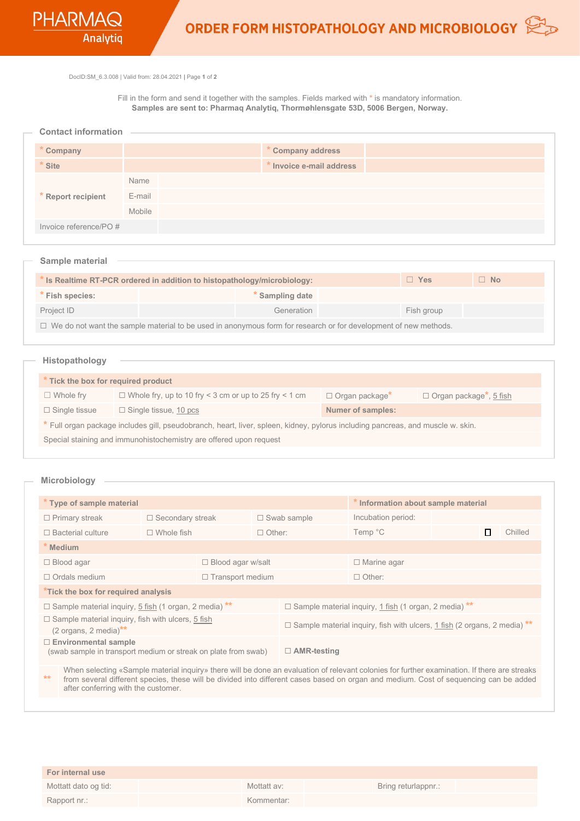DocID:SM\_6.3.008 | Valid from: 28.04.2021 **|** Page **1** of **2**

Fill in the form and send it together with the samples. Fields marked with **\*** is mandatory information. **Samples are sent to: Pharmaq Analytiq, Thormøhlensgate 53D, 5006 Bergen, Norway.**

| <b>Contact information</b> |  |
|----------------------------|--|
|----------------------------|--|

| Company               |        | * Company address        |
|-----------------------|--------|--------------------------|
| <b>Site</b>           |        | * Invoice e-mail address |
|                       | Name   |                          |
| * Report recipient    | E-mail |                          |
|                       | Mobile |                          |
| Invoice reference/PO# |        |                          |

| - Sample material                                                                                                      |  |                 |  |            |           |  |
|------------------------------------------------------------------------------------------------------------------------|--|-----------------|--|------------|-----------|--|
| * Is Realtime RT-PCR ordered in addition to histopathology/microbiology:                                               |  |                 |  | $\Box$ Yes | $\Box$ No |  |
| Fish species:                                                                                                          |  | * Sampling date |  |            |           |  |
| Project ID                                                                                                             |  | Generation      |  | Fish group |           |  |
| $\Box$ We do not want the sample material to be used in anonymous form for research or for development of new methods. |  |                 |  |            |           |  |

## **Histopathology**

| * Tick the box for required product                                                                                             |                                                              |                              |                                            |  |  |  |
|---------------------------------------------------------------------------------------------------------------------------------|--------------------------------------------------------------|------------------------------|--------------------------------------------|--|--|--|
| $\Box$ Whole fry                                                                                                                | $\Box$ Whole fry, up to 10 fry < 3 cm or up to 25 fry < 1 cm | □ Organ package <sup>*</sup> | $\Box$ Organ package <sup>*</sup> , 5 fish |  |  |  |
| $\Box$ Single tissue                                                                                                            | $\Box$ Single tissue, 10 pcs                                 | <b>Numer of samples:</b>     |                                            |  |  |  |
| * Full organ package includes gill, pseudobranch, heart, liver, spleen, kidney, pylorus including pancreas, and muscle w. skin. |                                                              |                              |                                            |  |  |  |
| Special staining and immunohistochemistry are offered upon request                                                              |                                                              |                              |                                            |  |  |  |

## **Microbiology**

| * Type of sample material                                                                            |                          |  |                                                                                 | * Information about sample material |                    |   |         |
|------------------------------------------------------------------------------------------------------|--------------------------|--|---------------------------------------------------------------------------------|-------------------------------------|--------------------|---|---------|
| $\Box$ Primary streak                                                                                | $\Box$ Secondary streak  |  | $\Box$ Swab sample                                                              |                                     | Incubation period: |   |         |
| $\Box$ Bacterial culture                                                                             | $\Box$ Whole fish        |  | $\Box$ Other:                                                                   |                                     | Temp °C            | П | Chilled |
| * Medium                                                                                             |                          |  |                                                                                 |                                     |                    |   |         |
| $\Box$ Blood agar                                                                                    | $\Box$ Blood agar w/salt |  |                                                                                 | □ Marine agar                       |                    |   |         |
| $\Box$ Ordals medium                                                                                 | $\Box$ Transport medium  |  |                                                                                 | $\Box$ Other:                       |                    |   |         |
| *Tick the box for required analysis                                                                  |                          |  |                                                                                 |                                     |                    |   |         |
| $\Box$ Sample material inquiry, 5 fish (1 organ, 2 media) **                                         |                          |  | $\Box$ Sample material inquiry, 1 fish (1 organ, 2 media) **                    |                                     |                    |   |         |
| $\Box$ Sample material inquiry, fish with ulcers, 5 fish<br>$(2 \text{ organs}, 2 \text{ media})$ ** |                          |  | $\Box$ Sample material inquiry, fish with ulcers, 1 fish (2 organs, 2 media) ** |                                     |                    |   |         |
| $\Box$ Environmental sample<br>(swab sample in transport medium or streak on plate from swab)        |                          |  | $\Box$ AMR-testing                                                              |                                     |                    |   |         |

**\*\*** When selecting «Sample material inquiry» there will be done an evaluation of relevant colonies for further examination. If there are streaks from several different species, these will be divided into different cases based on organ and medium. Cost of sequencing can be added after conferring with the customer.

| <b>For internal use</b> |             |                     |
|-------------------------|-------------|---------------------|
| Mottatt dato og tid:    | Mottatt av: | Bring returlappnr.: |
| Rapport nr.:            | Kommentar:  |                     |